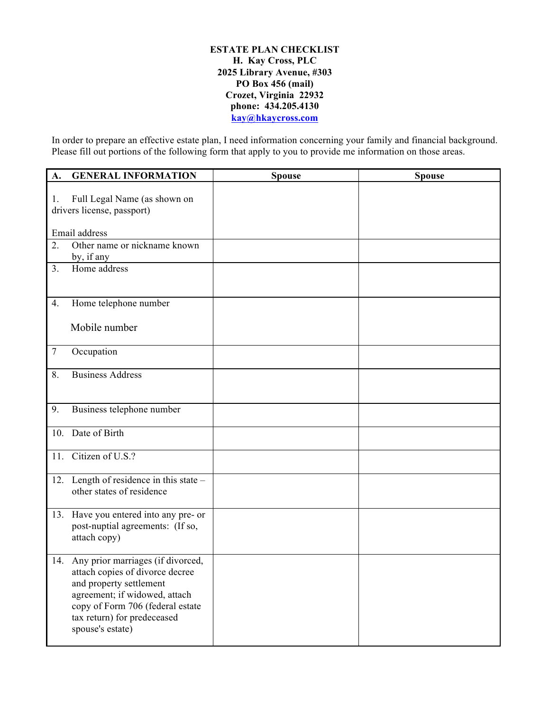#### **ESTATE PLAN CHECKLIST H. Kay Cross, PLC 2025 Library Avenue, #303 PO Box 456 (mail) Crozet, Virginia 22932 phone: 434.205.4130 kay@hkaycross.com**

In order to prepare an effective estate plan, I need information concerning your family and financial background. Please fill out portions of the following form that apply to you to provide me information on those areas.

| A.     | <b>GENERAL INFORMATION</b>                                                                                                                                                                                                  | <b>Spouse</b> | <b>Spouse</b> |
|--------|-----------------------------------------------------------------------------------------------------------------------------------------------------------------------------------------------------------------------------|---------------|---------------|
| 1.     | Full Legal Name (as shown on<br>drivers license, passport)                                                                                                                                                                  |               |               |
|        | Email address                                                                                                                                                                                                               |               |               |
| 2.     | Other name or nickname known<br>by, if any                                                                                                                                                                                  |               |               |
| 3.     | Home address                                                                                                                                                                                                                |               |               |
| 4.     | Home telephone number                                                                                                                                                                                                       |               |               |
|        | Mobile number                                                                                                                                                                                                               |               |               |
| $\tau$ | Occupation                                                                                                                                                                                                                  |               |               |
| 8.     | <b>Business Address</b>                                                                                                                                                                                                     |               |               |
| 9.     | Business telephone number                                                                                                                                                                                                   |               |               |
|        | 10. Date of Birth                                                                                                                                                                                                           |               |               |
| 11.    | Citizen of U.S.?                                                                                                                                                                                                            |               |               |
|        | 12. Length of residence in this state $-$<br>other states of residence                                                                                                                                                      |               |               |
|        | 13. Have you entered into any pre- or<br>post-nuptial agreements: (If so,<br>attach copy)                                                                                                                                   |               |               |
|        | 14. Any prior marriages (if divorced,<br>attach copies of divorce decree<br>and property settlement<br>agreement; if widowed, attach<br>copy of Form 706 (federal estate<br>tax return) for predeceased<br>spouse's estate) |               |               |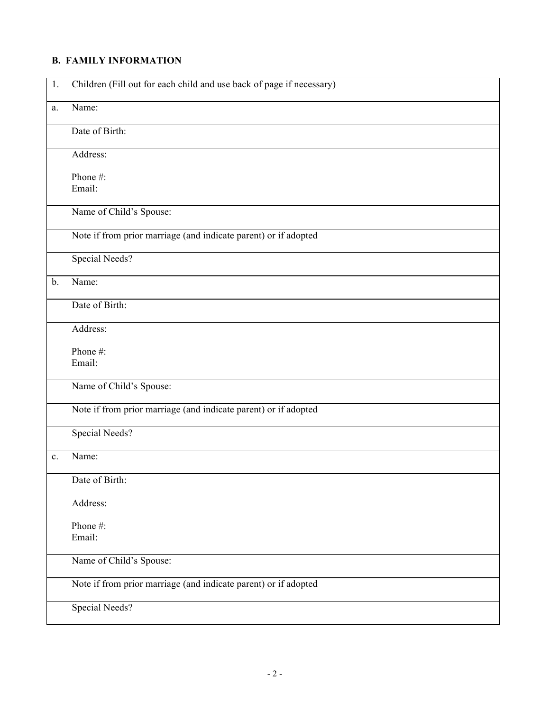## **B. FAMILY INFORMATION**

| 1.             | Children (Fill out for each child and use back of page if necessary) |
|----------------|----------------------------------------------------------------------|
| a.             | Name:                                                                |
|                | Date of Birth:                                                       |
|                | Address:                                                             |
|                | Phone #:<br>Email:                                                   |
|                | Name of Child's Spouse:                                              |
|                | Note if from prior marriage (and indicate parent) or if adopted      |
|                | <b>Special Needs?</b>                                                |
| $b$ .          | Name:                                                                |
|                | Date of Birth:                                                       |
|                | Address:                                                             |
|                | Phone#:<br>Email:                                                    |
|                | Name of Child's Spouse:                                              |
|                | Note if from prior marriage (and indicate parent) or if adopted      |
|                | Special Needs?                                                       |
| $\mathbf{c}$ . | Name:                                                                |
|                | Date of Birth:                                                       |
|                | Address:                                                             |
|                | Phone#:<br>Email:                                                    |
|                | Name of Child's Spouse:                                              |
|                | Note if from prior marriage (and indicate parent) or if adopted      |
|                | Special Needs?                                                       |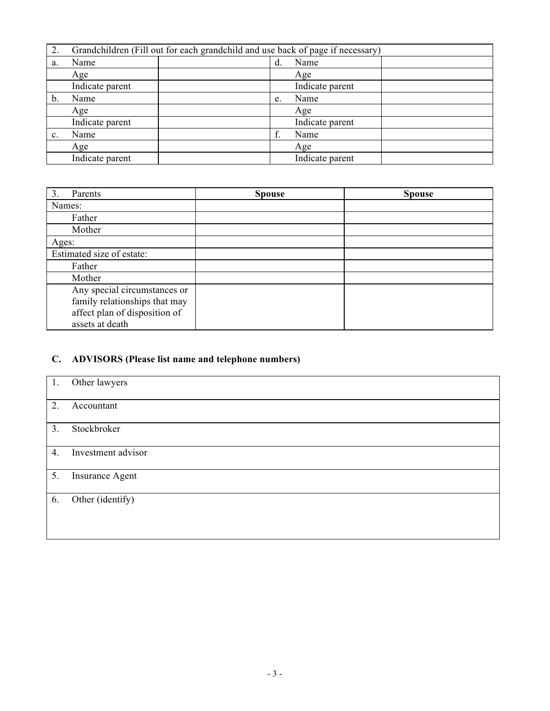| 2. |                 | Grandchildren (Fill out for each grandchild and use back of page if necessary) |    |                 |  |
|----|-----------------|--------------------------------------------------------------------------------|----|-----------------|--|
| a. | Name            |                                                                                | d. | Name            |  |
|    | Age             |                                                                                |    | Age             |  |
|    | Indicate parent |                                                                                |    | Indicate parent |  |
| b. | Name            |                                                                                | e. | Name            |  |
|    | Age             |                                                                                |    | Age             |  |
|    | Indicate parent |                                                                                |    | Indicate parent |  |
| c. | Name            |                                                                                | f. | Name            |  |
|    | Age             |                                                                                |    | Age             |  |
|    | Indicate parent |                                                                                |    | Indicate parent |  |

| 3.<br>Parents                 | <b>Spouse</b> | <b>Spouse</b> |
|-------------------------------|---------------|---------------|
| Names:                        |               |               |
| Father                        |               |               |
| Mother                        |               |               |
| Ages:                         |               |               |
| Estimated size of estate:     |               |               |
| Father                        |               |               |
| Mother                        |               |               |
| Any special circumstances or  |               |               |
| family relationships that may |               |               |
| affect plan of disposition of |               |               |
| assets at death               |               |               |

# **C. ADVISORS (Please list name and telephone numbers)**

| 1. | Other lawyers      |
|----|--------------------|
| 2. | Accountant         |
| 3. | Stockbroker        |
| 4. | Investment advisor |
| 5. | Insurance Agent    |
| 6. | Other (identify)   |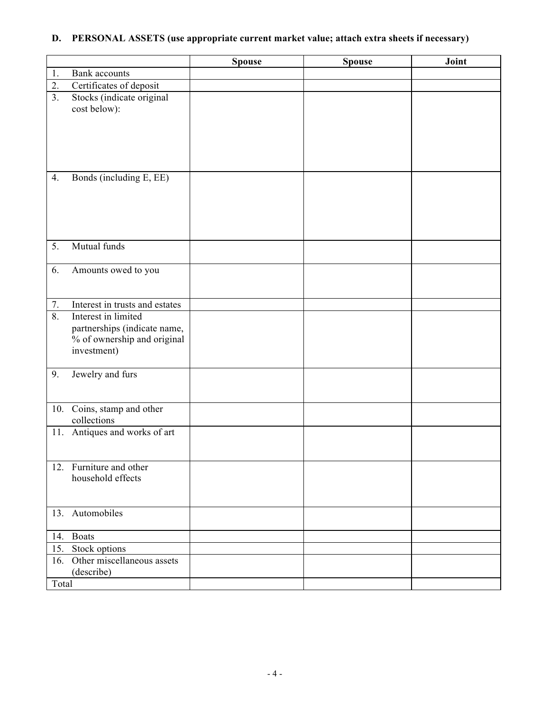## **D. PERSONAL ASSETS (use appropriate current market value; attach extra sheets if necessary)**

|                  |                                                                                                   | <b>Spouse</b> | <b>Spouse</b> | Joint |
|------------------|---------------------------------------------------------------------------------------------------|---------------|---------------|-------|
| 1.               | <b>Bank</b> accounts                                                                              |               |               |       |
| 2.               | Certificates of deposit                                                                           |               |               |       |
| 3 <sub>1</sub>   | Stocks (indicate original<br>cost below):                                                         |               |               |       |
| 4.               | Bonds (including E, EE)                                                                           |               |               |       |
| 5.               | Mutual funds                                                                                      |               |               |       |
| 6.               | Amounts owed to you                                                                               |               |               |       |
| 7.               | Interest in trusts and estates                                                                    |               |               |       |
| $\overline{8}$ . | Interest in limited<br>partnerships (indicate name,<br>% of ownership and original<br>investment) |               |               |       |
| 9.               | Jewelry and furs                                                                                  |               |               |       |
| 10.              | Coins, stamp and other<br>collections                                                             |               |               |       |
| 11.              | Antiques and works of art                                                                         |               |               |       |
|                  | 12. Furniture and other<br>household effects                                                      |               |               |       |
|                  | 13. Automobiles                                                                                   |               |               |       |
|                  | 14. Boats                                                                                         |               |               |       |
| 15.              | Stock options                                                                                     |               |               |       |
| 16.              | Other miscellaneous assets<br>(describe)                                                          |               |               |       |
| Total            |                                                                                                   |               |               |       |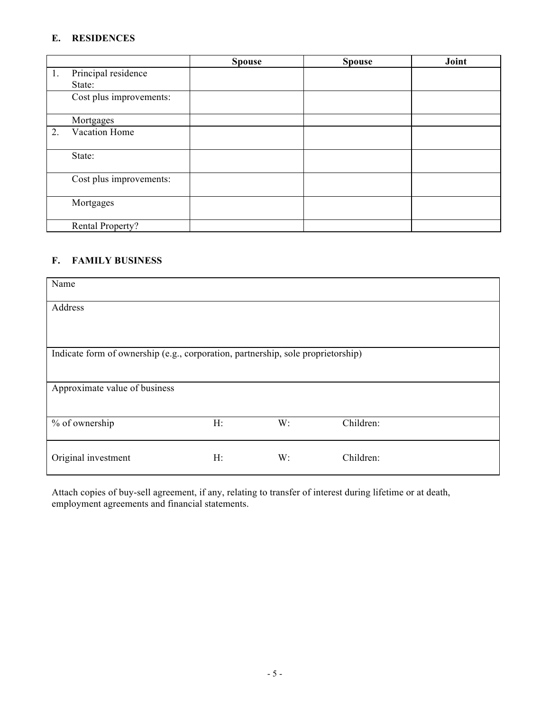### **E. RESIDENCES**

|    |                         | <b>Spouse</b> | <b>Spouse</b> | Joint |
|----|-------------------------|---------------|---------------|-------|
| 1. | Principal residence     |               |               |       |
|    | State:                  |               |               |       |
|    | Cost plus improvements: |               |               |       |
|    | Mortgages               |               |               |       |
| 2. | Vacation Home           |               |               |       |
|    | State:                  |               |               |       |
|    | Cost plus improvements: |               |               |       |
|    | Mortgages               |               |               |       |
|    | Rental Property?        |               |               |       |

#### **F. FAMILY BUSINESS**

| Name                          |                                                                                  |    |           |  |  |  |
|-------------------------------|----------------------------------------------------------------------------------|----|-----------|--|--|--|
| Address                       |                                                                                  |    |           |  |  |  |
|                               |                                                                                  |    |           |  |  |  |
|                               | Indicate form of ownership (e.g., corporation, partnership, sole proprietorship) |    |           |  |  |  |
| Approximate value of business |                                                                                  |    |           |  |  |  |
| % of ownership                | $H$ :                                                                            | W: | Children: |  |  |  |
| Original investment           | $H$ :                                                                            | W: | Children: |  |  |  |

Attach copies of buy-sell agreement, if any, relating to transfer of interest during lifetime or at death, employment agreements and financial statements.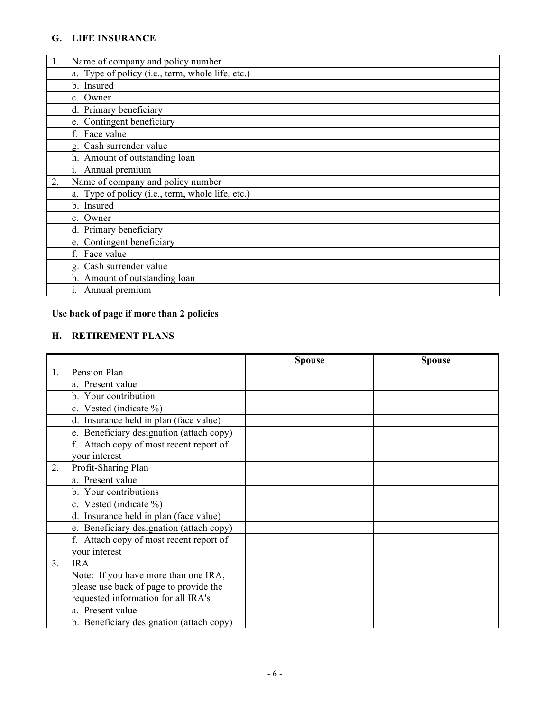### **G. LIFE INSURANCE**

| 1. | Name of company and policy number                |
|----|--------------------------------------------------|
|    | a. Type of policy (i.e., term, whole life, etc.) |
|    | b. Insured                                       |
|    | c. Owner                                         |
|    | d. Primary beneficiary                           |
|    | e. Contingent beneficiary                        |
|    | Face value                                       |
|    | g. Cash surrender value                          |
|    | h. Amount of outstanding loan                    |
|    | i. Annual premium                                |
| 2. | Name of company and policy number                |
|    | a. Type of policy (i.e., term, whole life, etc.) |
|    | b. Insured                                       |
|    | c. Owner                                         |
|    | d. Primary beneficiary                           |
|    | e. Contingent beneficiary                        |
|    | f. Face value                                    |
|    | g. Cash surrender value                          |
|    | h. Amount of outstanding loan                    |
|    | i. Annual premium                                |

# **Use back of page if more than 2 policies**

## **H. RETIREMENT PLANS**

|                |                                          | <b>Spouse</b> | <b>Spouse</b> |
|----------------|------------------------------------------|---------------|---------------|
|                | Pension Plan                             |               |               |
|                | a. Present value                         |               |               |
|                | b. Your contribution                     |               |               |
|                | c. Vested (indicate %)                   |               |               |
|                | d. Insurance held in plan (face value)   |               |               |
|                | e. Beneficiary designation (attach copy) |               |               |
|                | f. Attach copy of most recent report of  |               |               |
|                | your interest                            |               |               |
| 2.             | Profit-Sharing Plan                      |               |               |
|                | a. Present value                         |               |               |
|                | b. Your contributions                    |               |               |
|                | c. Vested (indicate %)                   |               |               |
|                | d. Insurance held in plan (face value)   |               |               |
|                | e. Beneficiary designation (attach copy) |               |               |
|                | f. Attach copy of most recent report of  |               |               |
|                | your interest                            |               |               |
| 3 <sub>1</sub> | <b>IRA</b>                               |               |               |
|                | Note: If you have more than one IRA,     |               |               |
|                | please use back of page to provide the   |               |               |
|                | requested information for all IRA's      |               |               |
|                | a. Present value                         |               |               |
|                | b. Beneficiary designation (attach copy) |               |               |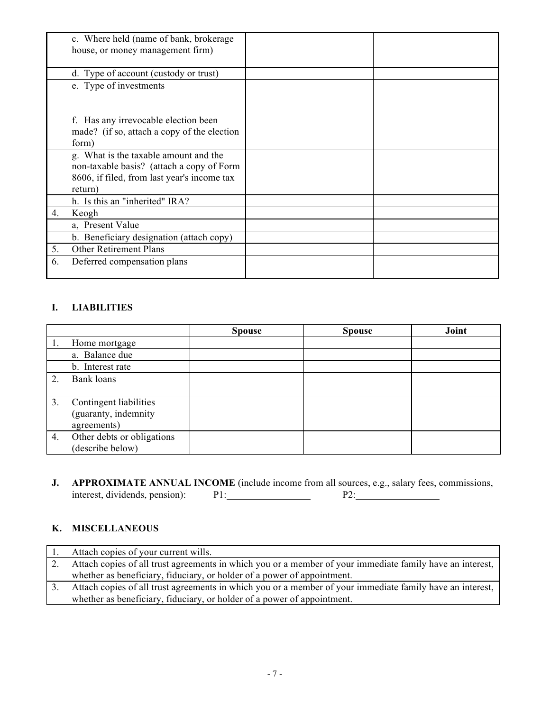|    | c. Where held (name of bank, brokerage      |  |
|----|---------------------------------------------|--|
|    | house, or money management firm)            |  |
|    | d. Type of account (custody or trust)       |  |
|    | e. Type of investments                      |  |
|    |                                             |  |
|    | f. Has any irrevocable election been        |  |
|    | made? (if so, attach a copy of the election |  |
|    | form)                                       |  |
|    | g. What is the taxable amount and the       |  |
|    | non-taxable basis? (attach a copy of Form   |  |
|    | 8606, if filed, from last year's income tax |  |
|    | return)                                     |  |
|    | h. Is this an "inherited" IRA?              |  |
| 4. | Keogh                                       |  |
|    | a, Present Value                            |  |
|    | b. Beneficiary designation (attach copy)    |  |
| 5. | <b>Other Retirement Plans</b>               |  |
| 6. | Deferred compensation plans                 |  |
|    |                                             |  |

### **I. LIABILITIES**

|                  |                            | <b>Spouse</b> | <b>Spouse</b> | Joint |
|------------------|----------------------------|---------------|---------------|-------|
|                  | Home mortgage              |               |               |       |
|                  | a. Balance due             |               |               |       |
|                  | b. Interest rate           |               |               |       |
| $\mathcal{D}$    | Bank loans                 |               |               |       |
|                  |                            |               |               |       |
| 3.               | Contingent liabilities     |               |               |       |
|                  | (guaranty, indemnity       |               |               |       |
|                  | agreements)                |               |               |       |
| $\overline{4}$ . | Other debts or obligations |               |               |       |
|                  | (describe below)           |               |               |       |

**J. APPROXIMATE ANNUAL INCOME** (include income from all sources, e.g., salary fees, commissions, interest, dividends, pension): P1: P2: interest, dividends, pension):

#### **K. MISCELLANEOUS**

| Attach copies of your current wills.                                                                      |
|-----------------------------------------------------------------------------------------------------------|
| Attach copies of all trust agreements in which you or a member of your immediate family have an interest, |
| whether as beneficiary, fiduciary, or holder of a power of appointment.                                   |
| Attach copies of all trust agreements in which you or a member of your immediate family have an interest, |
| whether as beneficiary, fiduciary, or holder of a power of appointment.                                   |